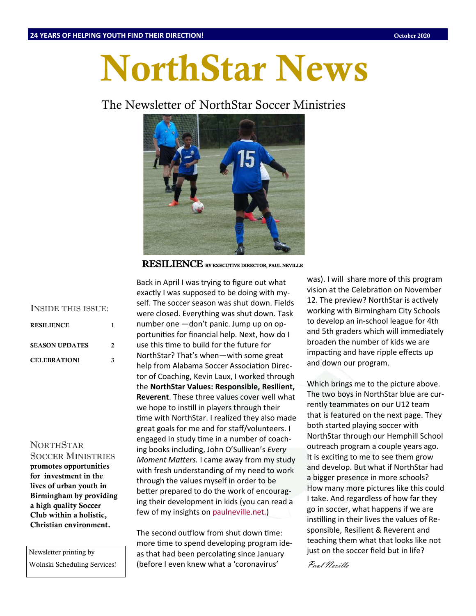# **NorthStar News**

# The Newsletter of NorthStar Soccer Ministries



RESILIENCE BY EXECUTIVE DIRECTOR, PAUL NEVILLE

| <b>INSIDE THIS ISSUE:</b> |   |
|---------------------------|---|
| <b>RESILIENCE</b>         |   |
| <b>SEASON UPDATES</b>     | 2 |
| <b>CELEBRATION!</b>       | ર |

### NORTHSTAR

SOCCER MINISTRIES **promotes opportunities for investment in the lives of urban youth in Birmingham by providing a high quality Soccer Club within a holistic, Christian environment.**

Newsletter printing by Wolnski Scheduling Services! Back in April I was trying to figure out what exactly I was supposed to be doing with myself. The soccer season was shut down. Fields were closed. Everything was shut down. Task number one —don't panic. Jump up on opportunities for financial help. Next, how do I use this time to build for the future for NorthStar? That's when—with some great help from Alabama Soccer Association Director of Coaching, Kevin Laux, I worked through the **NorthStar Values: Responsible, Resilient, Reverent**. These three values cover well what we hope to instill in players through their time with NorthStar. I realized they also made great goals for me and for staff/volunteers. I engaged in study time in a number of coaching books including, John O'Sullivan's *Every Moment Matters.* I came away from my study with fresh understanding of my need to work through the values myself in order to be better prepared to do the work of encouraging their development in kids (you can read a few of my insights on [paulneville.net.\)](http://www.paulneville.net)

The second outflow from shut down time: more time to spend developing program ideas that had been percolating since January (before I even knew what a 'coronavirus'

was). I will share more of this program vision at the Celebration on November 12. The preview? NorthStar is actively working with Birmingham City Schools to develop an in-school league for 4th and 5th graders which will immediately broaden the number of kids we are impacting and have ripple effects up and down our program.

Which brings me to the picture above. The two boys in NorthStar blue are currently teammates on our U12 team that is featured on the next page. They both started playing soccer with NorthStar through our Hemphill School outreach program a couple years ago. It is exciting to me to see them grow and develop. But what if NorthStar had a bigger presence in more schools? How many more pictures like this could I take. And regardless of how far they go in soccer, what happens if we are instilling in their lives the values of Responsible, Resilient & Reverent and teaching them what that looks like not just on the soccer field but in life?

Paul Neville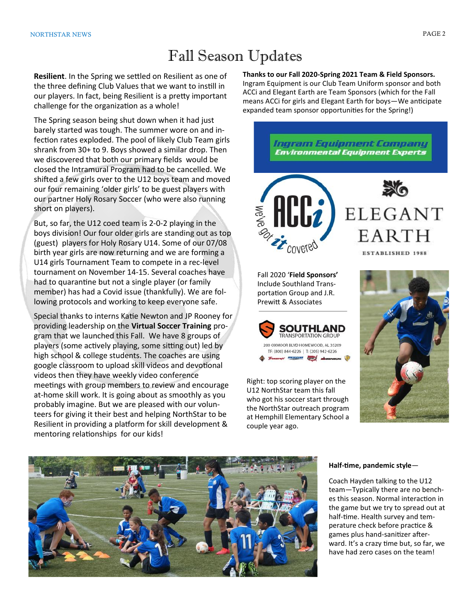# Fall Season Updates

**Resilient**. In the Spring we settled on Resilient as one of the three defining Club Values that we want to instill in our players. In fact, being Resilient is a pretty important challenge for the organization as a whole!

The Spring season being shut down when it had just barely started was tough. The summer wore on and infection rates exploded. The pool of likely Club Team girls shrank from 30+ to 9. Boys showed a similar drop. Then we discovered that both our primary fields would be closed the Intramural Program had to be cancelled. We shifted a few girls over to the U12 boys team and moved our four remaining 'older girls' to be guest players with our partner Holy Rosary Soccer (who were also running short on players).

But, so far, the U12 coed team is 2-0-2 playing in the boys division! Our four older girls are standing out as top (guest) players for Holy Rosary U14. Some of our 07/08 birth year girls are now returning and we are forming a U14 girls Tournament Team to compete in a rec-level tournament on November 14-15. Several coaches have had to quarantine but not a single player (or family member) has had a Covid issue (thankfully). We are following protocols and working to keep everyone safe.

Special thanks to interns Katie Newton and JP Rooney for providing leadership on the **Virtual Soccer Training** program that we launched this Fall. We have 8 groups of players (some actively playing, some sitting out) led by high school & college students. The coaches are using google classroom to upload skill videos and devotional videos then they have weekly video conference meetings with group members to review and encourage at-home skill work. It is going about as smoothly as you probably imagine. But we are pleased with our volunteers for giving it their best and helping NorthStar to be Resilient in providing a platform for skill development & mentoring relationships for our kids!

**Thanks to our Fall 2020-Spring 2021 Team & Field Sponsors.**  Ingram Equipment is our Club Team Uniform sponsor and both ACCi and Elegant Earth are Team Sponsors (which for the Fall means ACCi for girls and Elegant Earth for boys—We anticipate expanded team sponsor opportunities for the Spring!)





Right: top scoring player on the U12 NorthStar team this fall who got his soccer start through the NorthStar outreach program at Hemphill Elementary School a couple year ago.





#### **Half-time, pandemic style**—

Coach Hayden talking to the U12 team—Typically there are no benches this season. Normal interaction in the game but we try to spread out at half-time. Health survey and temperature check before practice & games plus hand-sanitizer afterward. It's a crazy time but, so far, we have had zero cases on the team!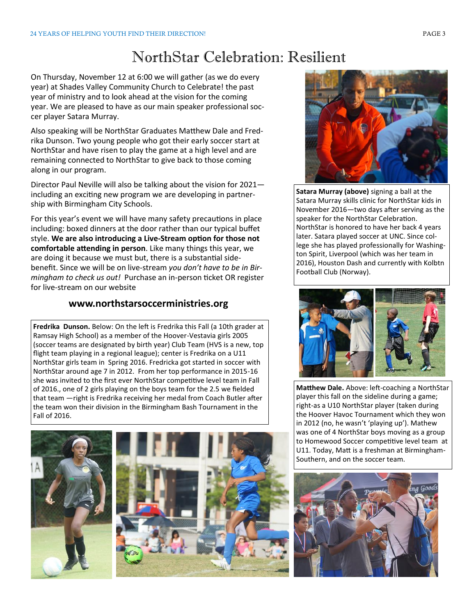# NorthStar Celebration: Resilient

On Thursday, November 12 at 6:00 we will gather (as we do every year) at Shades Valley Community Church to Celebrate! the past year of ministry and to look ahead at the vision for the coming year. We are pleased to have as our main speaker professional soccer player Satara Murray.

Also speaking will be NorthStar Graduates Matthew Dale and Fredrika Dunson. Two young people who got their early soccer start at NorthStar and have risen to play the game at a high level and are remaining connected to NorthStar to give back to those coming along in our program.

Director Paul Neville will also be talking about the vision for 2021 including an exciting new program we are developing in partnership with Birmingham City Schools.

For this year's event we will have many safety precautions in place including: boxed dinners at the door rather than our typical buffet style. **We are also introducing a Live-Stream option for those not comfortable attending in person**. Like many things this year, we are doing it because we must but, there is a substantial sidebenefit. Since we will be on live-stream *you don't have to be in Birmingham to check us out!* Purchase an in-person ticket OR register for live-stream on our website

## **www.northstarsoccerministries.org**

**Fredrika Dunson.** Below: On the left is Fredrika this Fall (a 10th grader at Ramsay High School) as a member of the Hoover-Vestavia girls 2005 (soccer teams are designated by birth year) Club Team (HVS is a new, top flight team playing in a regional league); center is Fredrika on a U11 NorthStar girls team in Spring 2016. Fredricka got started in soccer with NorthStar around age 7 in 2012. From her top performance in 2015-16 she was invited to the first ever NorthStar competitive level team in Fall of 2016., one of 2 girls playing on the boys team for the 2.5 we fielded that team —right is Fredrika receiving her medal from Coach Butler after the team won their division in the Birmingham Bash Tournament in the Fall of 2016.





**Satara Murray (above)** signing a ball at the Satara Murray skills clinic for NorthStar kids in November 2016—two days after serving as the speaker for the NorthStar Celebration. NorthStar is honored to have her back 4 years later. Satara played soccer at UNC. Since college she has played professionally for Washington Spirit, Liverpool (which was her team in 2016), Houston Dash and currently with Kolbtn Football Club (Norway).



**Matthew Dale.** Above: left-coaching a NorthStar player this fall on the sideline during a game; right-as a U10 NorthStar player (taken during the Hoover Havoc Tournament which they won in 2012 (no, he wasn't 'playing up'). Mathew was one of 4 NorthStar boys moving as a group to Homewood Soccer competitive level team at U11. Today, Matt is a freshman at Birmingham-Southern, and on the soccer team.